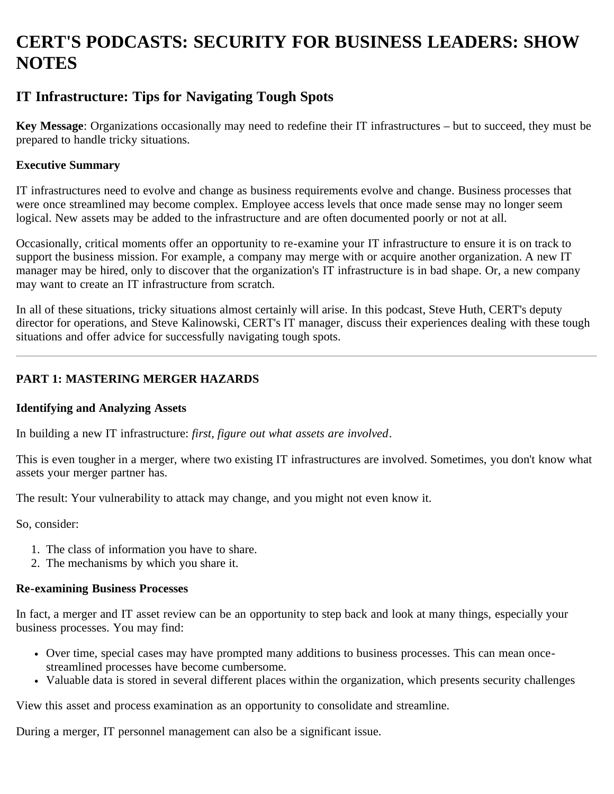# **CERT'S PODCASTS: SECURITY FOR BUSINESS LEADERS: SHOW NOTES**

# **IT Infrastructure: Tips for Navigating Tough Spots**

**Key Message**: Organizations occasionally may need to redefine their IT infrastructures – but to succeed, they must be prepared to handle tricky situations.

#### **Executive Summary**

IT infrastructures need to evolve and change as business requirements evolve and change. Business processes that were once streamlined may become complex. Employee access levels that once made sense may no longer seem logical. New assets may be added to the infrastructure and are often documented poorly or not at all.

Occasionally, critical moments offer an opportunity to re-examine your IT infrastructure to ensure it is on track to support the business mission. For example, a company may merge with or acquire another organization. A new IT manager may be hired, only to discover that the organization's IT infrastructure is in bad shape. Or, a new company may want to create an IT infrastructure from scratch.

In all of these situations, tricky situations almost certainly will arise. In this podcast, Steve Huth, CERT's deputy director for operations, and Steve Kalinowski, CERT's IT manager, discuss their experiences dealing with these tough situations and offer advice for successfully navigating tough spots.

## **PART 1: MASTERING MERGER HAZARDS**

#### **Identifying and Analyzing Assets**

In building a new IT infrastructure: *first, figure out what assets are involved*.

This is even tougher in a merger, where two existing IT infrastructures are involved. Sometimes, you don't know what assets your merger partner has.

The result: Your vulnerability to attack may change, and you might not even know it.

So, consider:

- 1. The class of information you have to share.
- 2. The mechanisms by which you share it.

#### **Re-examining Business Processes**

In fact, a merger and IT asset review can be an opportunity to step back and look at many things, especially your business processes. You may find:

- Over time, special cases may have prompted many additions to business processes. This can mean oncestreamlined processes have become cumbersome.
- Valuable data is stored in several different places within the organization, which presents security challenges

View this asset and process examination as an opportunity to consolidate and streamline.

During a merger, IT personnel management can also be a significant issue.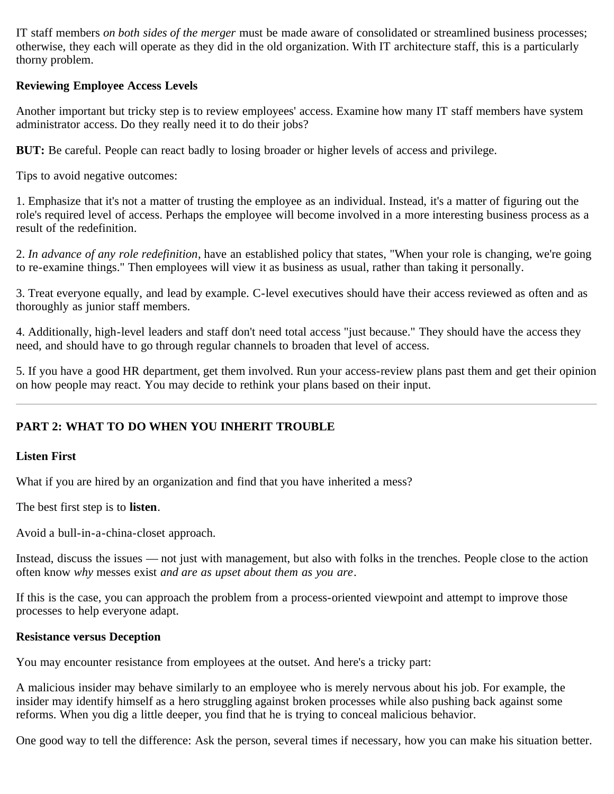IT staff members *on both sides of the merger* must be made aware of consolidated or streamlined business processes; otherwise, they each will operate as they did in the old organization. With IT architecture staff, this is a particularly thorny problem.

#### **Reviewing Employee Access Levels**

Another important but tricky step is to review employees' access. Examine how many IT staff members have system administrator access. Do they really need it to do their jobs?

**BUT:** Be careful. People can react badly to losing broader or higher levels of access and privilege.

Tips to avoid negative outcomes:

1. Emphasize that it's not a matter of trusting the employee as an individual. Instead, it's a matter of figuring out the role's required level of access. Perhaps the employee will become involved in a more interesting business process as a result of the redefinition.

2. *In advance of any role redefinition*, have an established policy that states, "When your role is changing, we're going to re-examine things." Then employees will view it as business as usual, rather than taking it personally.

3. Treat everyone equally, and lead by example. C-level executives should have their access reviewed as often and as thoroughly as junior staff members.

4. Additionally, high-level leaders and staff don't need total access "just because." They should have the access they need, and should have to go through regular channels to broaden that level of access.

5. If you have a good HR department, get them involved. Run your access-review plans past them and get their opinion on how people may react. You may decide to rethink your plans based on their input.

# **PART 2: WHAT TO DO WHEN YOU INHERIT TROUBLE**

#### **Listen First**

What if you are hired by an organization and find that you have inherited a mess?

The best first step is to **listen**.

Avoid a bull-in-a-china-closet approach.

Instead, discuss the issues — not just with management, but also with folks in the trenches. People close to the action often know *why* messes exist *and are as upset about them as you are*.

If this is the case, you can approach the problem from a process-oriented viewpoint and attempt to improve those processes to help everyone adapt.

#### **Resistance versus Deception**

You may encounter resistance from employees at the outset. And here's a tricky part:

A malicious insider may behave similarly to an employee who is merely nervous about his job. For example, the insider may identify himself as a hero struggling against broken processes while also pushing back against some reforms. When you dig a little deeper, you find that he is trying to conceal malicious behavior.

One good way to tell the difference: Ask the person, several times if necessary, how you can make his situation better.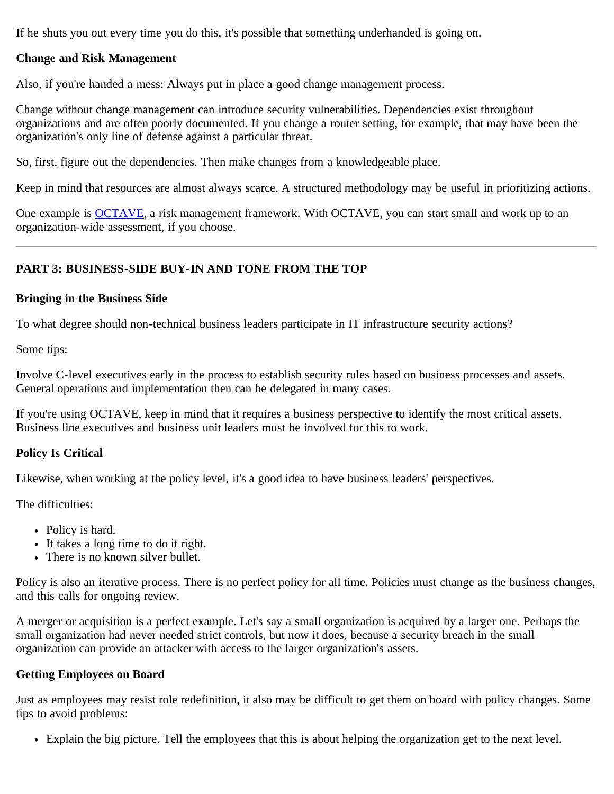If he shuts you out every time you do this, it's possible that something underhanded is going on.

## **Change and Risk Management**

Also, if you're handed a mess: Always put in place a good change management process.

Change without change management can introduce security vulnerabilities. Dependencies exist throughout organizations and are often poorly documented. If you change a router setting, for example, that may have been the organization's only line of defense against a particular threat.

So, first, figure out the dependencies. Then make changes from a knowledgeable place.

Keep in mind that resources are almost always scarce. A structured methodology may be useful in prioritizing actions.

One example is **OCTAVE**, a risk management framework. With [OCTAVE,](http://www.cert.org/octave) you can start small and work up to an organization-wide assessment, if you choose.

# **PART 3: BUSINESS-SIDE BUY-IN AND TONE FROM THE TOP**

#### **Bringing in the Business Side**

To what degree should non-technical business leaders participate in IT infrastructure security actions?

Some tips:

Involve C-level executives early in the process to establish security rules based on business processes and assets. General operations and implementation then can be delegated in many cases.

If you're using OCTAVE, keep in mind that it requires a business perspective to identify the most critical assets. Business line executives and business unit leaders must be involved for this to work.

#### **Policy Is Critical**

Likewise, when working at the policy level, it's a good idea to have business leaders' perspectives.

The difficulties:

- Policy is hard.
- It takes a long time to do it right.
- There is no known silver bullet.

Policy is also an iterative process. There is no perfect policy for all time. Policies must change as the business changes, and this calls for ongoing review.

A merger or acquisition is a perfect example. Let's say a small organization is acquired by a larger one. Perhaps the small organization had never needed strict controls, but now it does, because a security breach in the small organization can provide an attacker with access to the larger organization's assets.

#### **Getting Employees on Board**

Just as employees may resist role redefinition, it also may be difficult to get them on board with policy changes. Some tips to avoid problems:

Explain the big picture. Tell the employees that this is about helping the organization get to the next level.